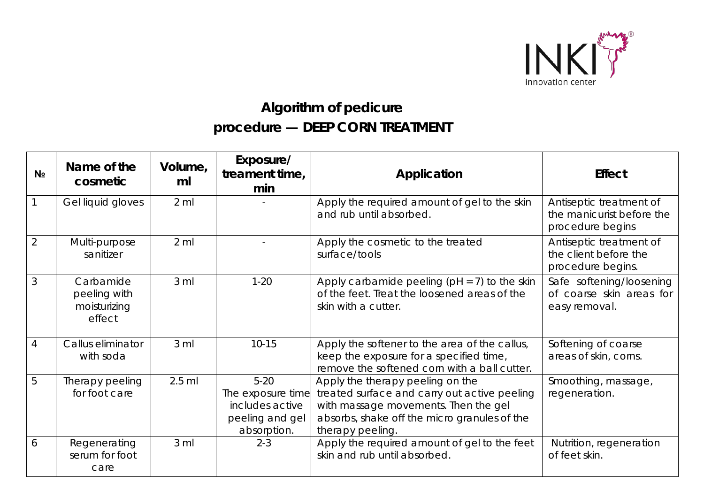

## **Algorithm of pedicure procedure — DEEP CORN TREATMENT**

| N <sub>2</sub> | Name of the<br>cosmetic                             | Volume,<br>ml   | Exposure/<br>treament time,<br>min                                               | Application                                                                                                                                                                                  | <b>Effect</b>                                                            |
|----------------|-----------------------------------------------------|-----------------|----------------------------------------------------------------------------------|----------------------------------------------------------------------------------------------------------------------------------------------------------------------------------------------|--------------------------------------------------------------------------|
|                | Gel liquid gloves                                   | $2 \mathrm{ml}$ |                                                                                  | Apply the required amount of gel to the skin<br>and rub until absorbed.                                                                                                                      | Antiseptic treatment of<br>the manicurist before the<br>procedure begins |
| $\overline{2}$ | Multi-purpose<br>sanitizer                          | $2$ ml          |                                                                                  | Apply the cosmetic to the treated<br>surface/tools                                                                                                                                           | Antiseptic treatment of<br>the client before the<br>procedure begins.    |
| 3              | Carbamide<br>peeling with<br>moisturizing<br>effect | 3 <sub>m</sub>  | $1 - 20$                                                                         | Apply carbamide peeling ( $pH = 7$ ) to the skin<br>of the feet. Treat the loosened areas of the<br>skin with a cutter.                                                                      | Safe softening/loosening<br>of coarse skin areas for<br>easy removal.    |
| $\overline{4}$ | Callus eliminator<br>with soda                      | 3 <sub>m</sub>  | $10 - 15$                                                                        | Apply the softener to the area of the callus,<br>keep the exposure for a specified time,<br>remove the softened corn with a ball cutter.                                                     | Softening of coarse<br>areas of skin, corns.                             |
| 5              | Therapy peeling<br>for foot care                    | $2.5$ ml        | $5-20$<br>The exposure time<br>includes active<br>peeling and gel<br>absorption. | Apply the therapy peeling on the<br>treated surface and carry out active peeling<br>with massage movements. Then the gel<br>absorbs, shake off the micro granules of the<br>therapy peeling. | Smoothing, massage,<br>regeneration.                                     |
| 6              | Regenerating<br>serum for foot<br>care              | 3 <sub>m</sub>  | $2 - 3$                                                                          | Apply the required amount of gel to the feet<br>skin and rub until absorbed.                                                                                                                 | Nutrition, regeneration<br>of feet skin.                                 |